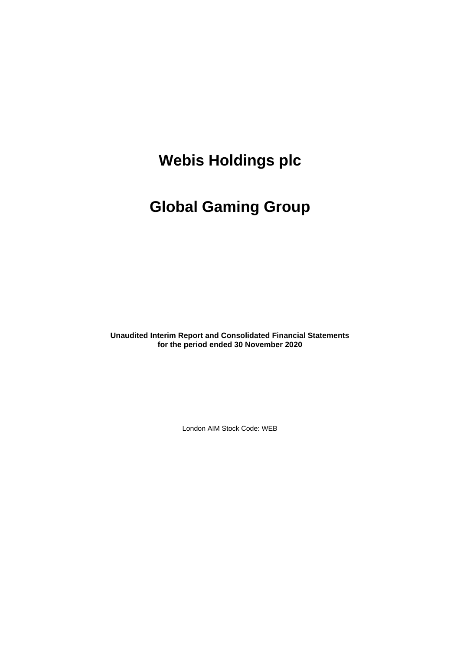# **Global Gaming Group**

**Unaudited Interim Report and Consolidated Financial Statements for the period ended 30 November 2020**

London AIM Stock Code: WEB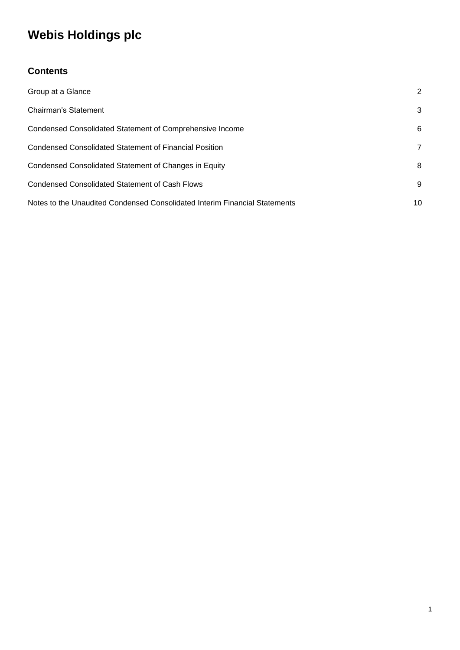# **Contents**

| Group at a Glance                                                          | 2  |
|----------------------------------------------------------------------------|----|
| Chairman's Statement                                                       | 3  |
| Condensed Consolidated Statement of Comprehensive Income                   | 6  |
| <b>Condensed Consolidated Statement of Financial Position</b>              | 7  |
| Condensed Consolidated Statement of Changes in Equity                      | 8  |
| Condensed Consolidated Statement of Cash Flows                             | 9  |
| Notes to the Unaudited Condensed Consolidated Interim Financial Statements | 10 |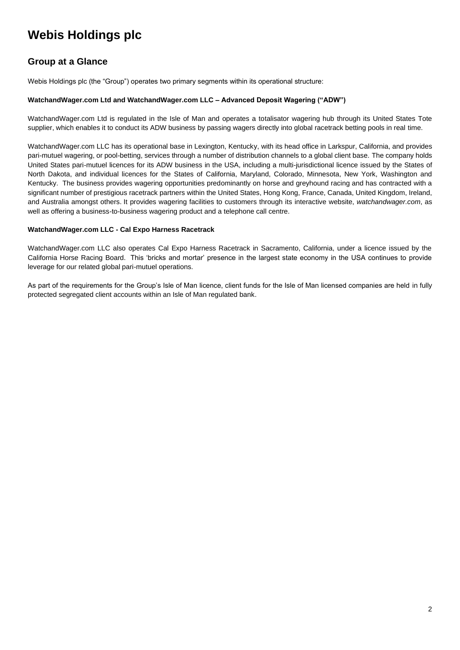## **Group at a Glance**

Webis Holdings plc (the "Group") operates two primary segments within its operational structure:

### **WatchandWager.com Ltd and WatchandWager.com LLC – Advanced Deposit Wagering ("ADW")**

WatchandWager.com Ltd is regulated in the Isle of Man and operates a totalisator wagering hub through its United States Tote supplier, which enables it to conduct its ADW business by passing wagers directly into global racetrack betting pools in real time.

WatchandWager.com LLC has its operational base in Lexington, Kentucky, with its head office in Larkspur, California, and provides pari-mutuel wagering, or pool-betting, services through a number of distribution channels to a global client base. The company holds United States pari-mutuel licences for its ADW business in the USA, including a multi-jurisdictional licence issued by the States of North Dakota, and individual licences for the States of California, Maryland, Colorado, Minnesota, New York, Washington and Kentucky. The business provides wagering opportunities predominantly on horse and greyhound racing and has contracted with a significant number of prestigious racetrack partners within the United States, Hong Kong, France, Canada, United Kingdom, Ireland, and Australia amongst others. It provides wagering facilities to customers through its interactive website, *watchandwager.com*, as well as offering a business-to-business wagering product and a telephone call centre.

#### **WatchandWager.com LLC - Cal Expo Harness Racetrack**

WatchandWager.com LLC also operates Cal Expo Harness Racetrack in Sacramento, California, under a licence issued by the California Horse Racing Board. This 'bricks and mortar' presence in the largest state economy in the USA continues to provide leverage for our related global pari-mutuel operations.

As part of the requirements for the Group's Isle of Man licence, client funds for the Isle of Man licensed companies are held in fully protected segregated client accounts within an Isle of Man regulated bank.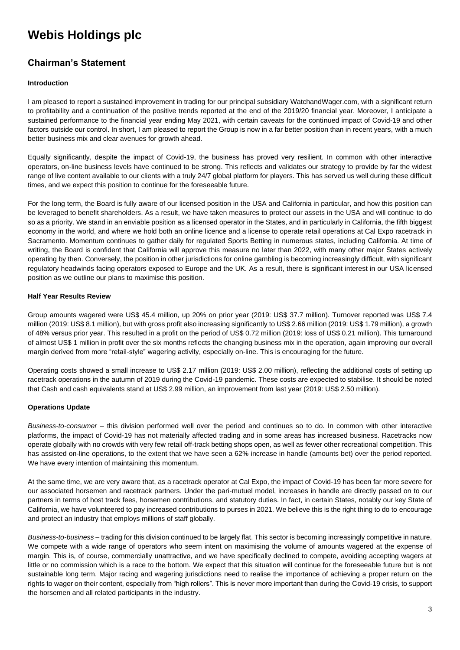## **Chairman's Statement**

### **Introduction**

I am pleased to report a sustained improvement in trading for our principal subsidiary WatchandWager.com, with a significant return to profitability and a continuation of the positive trends reported at the end of the 2019/20 financial year. Moreover, I anticipate a sustained performance to the financial year ending May 2021, with certain caveats for the continued impact of Covid-19 and other factors outside our control. In short, I am pleased to report the Group is now in a far better position than in recent years, with a much better business mix and clear avenues for growth ahead.

Equally significantly, despite the impact of Covid-19, the business has proved very resilient. In common with other interactive operators, on-line business levels have continued to be strong. This reflects and validates our strategy to provide by far the widest range of live content available to our clients with a truly 24/7 global platform for players. This has served us well during these difficult times, and we expect this position to continue for the foreseeable future.

For the long term, the Board is fully aware of our licensed position in the USA and California in particular, and how this position can be leveraged to benefit shareholders. As a result, we have taken measures to protect our assets in the USA and will continue to do so as a priority. We stand in an enviable position as a licensed operator in the States, and in particularly in California, the fifth biggest economy in the world, and where we hold both an online licence and a license to operate retail operations at Cal Expo racetrack in Sacramento. Momentum continues to gather daily for regulated Sports Betting in numerous states, including California. At time of writing, the Board is confident that California will approve this measure no later than 2022, with many other major States actively operating by then. Conversely, the position in other jurisdictions for online gambling is becoming increasingly difficult, with significant regulatory headwinds facing operators exposed to Europe and the UK. As a result, there is significant interest in our USA licensed position as we outline our plans to maximise this position.

### **Half Year Results Review**

Group amounts wagered were US\$ 45.4 million, up 20% on prior year (2019: US\$ 37.7 million). Turnover reported was US\$ 7.4 million (2019: US\$ 8.1 million), but with gross profit also increasing significantly to US\$ 2.66 million (2019: US\$ 1.79 million), a growth of 48% versus prior year. This resulted in a profit on the period of US\$ 0.72 million (2019: loss of US\$ 0.21 million). This turnaround of almost US\$ 1 million in profit over the six months reflects the changing business mix in the operation, again improving our overall margin derived from more "retail-style" wagering activity, especially on-line. This is encouraging for the future.

Operating costs showed a small increase to US\$ 2.17 million (2019: US\$ 2.00 million), reflecting the additional costs of setting up racetrack operations in the autumn of 2019 during the Covid-19 pandemic. These costs are expected to stabilise. It should be noted that Cash and cash equivalents stand at US\$ 2.99 million, an improvement from last year (2019: US\$ 2.50 million).

## **Operations Update**

*Business-to-consumer* – this division performed well over the period and continues so to do. In common with other interactive platforms, the impact of Covid-19 has not materially affected trading and in some areas has increased business. Racetracks now operate globally with no crowds with very few retail off-track betting shops open, as well as fewer other recreational competition. This has assisted on-line operations, to the extent that we have seen a 62% increase in handle (amounts bet) over the period reported. We have every intention of maintaining this momentum.

At the same time, we are very aware that, as a racetrack operator at Cal Expo, the impact of Covid-19 has been far more severe for our associated horsemen and racetrack partners. Under the pari-mutuel model, increases in handle are directly passed on to our partners in terms of host track fees, horsemen contributions, and statutory duties. In fact, in certain States, notably our key State of California, we have volunteered to pay increased contributions to purses in 2021. We believe this is the right thing to do to encourage and protect an industry that employs millions of staff globally.

*Business-to-business* – trading for this division continued to be largely flat. This sector is becoming increasingly competitive in nature. We compete with a wide range of operators who seem intent on maximising the volume of amounts wagered at the expense of margin. This is, of course, commercially unattractive, and we have specifically declined to compete, avoiding accepting wagers at little or no commission which is a race to the bottom. We expect that this situation will continue for the foreseeable future but is not sustainable long term. Major racing and wagering jurisdictions need to realise the importance of achieving a proper return on the rights to wager on their content, especially from "high rollers". This is never more important than during the Covid-19 crisis, to support the horsemen and all related participants in the industry.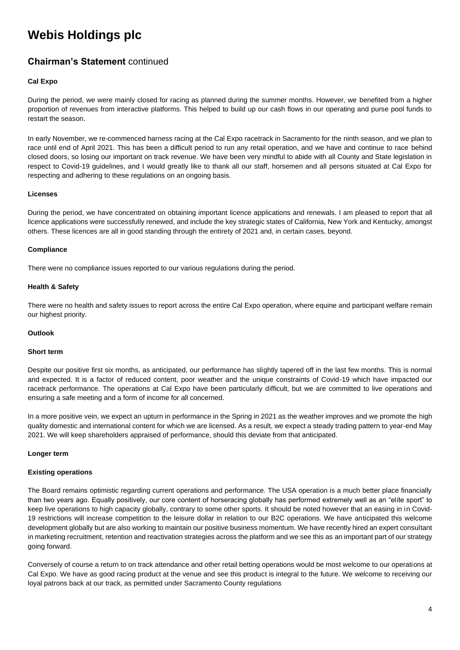## **Chairman's Statement** continued

### **Cal Expo**

During the period, we were mainly closed for racing as planned during the summer months. However, we benefited from a higher proportion of revenues from interactive platforms. This helped to build up our cash flows in our operating and purse pool funds to restart the season.

In early November, we re-commenced harness racing at the Cal Expo racetrack in Sacramento for the ninth season, and we plan to race until end of April 2021. This has been a difficult period to run any retail operation, and we have and continue to race behind closed doors, so losing our important on track revenue. We have been very mindful to abide with all County and State legislation in respect to Covid-19 guidelines, and I would greatly like to thank all our staff, horsemen and all persons situated at Cal Expo for respecting and adhering to these regulations on an ongoing basis.

### **Licenses**

During the period, we have concentrated on obtaining important licence applications and renewals. I am pleased to report that all licence applications were successfully renewed, and include the key strategic states of California, New York and Kentucky, amongst others. These licences are all in good standing through the entirety of 2021 and, in certain cases, beyond.

#### **Compliance**

There were no compliance issues reported to our various regulations during the period.

### **Health & Safety**

There were no health and safety issues to report across the entire Cal Expo operation, where equine and participant welfare remain our highest priority.

#### **Outlook**

#### **Short term**

Despite our positive first six months, as anticipated, our performance has slightly tapered off in the last few months. This is normal and expected. It is a factor of reduced content, poor weather and the unique constraints of Covid-19 which have impacted our racetrack performance. The operations at Cal Expo have been particularly difficult, but we are committed to live operations and ensuring a safe meeting and a form of income for all concerned.

In a more positive vein, we expect an upturn in performance in the Spring in 2021 as the weather improves and we promote the high quality domestic and international content for which we are licensed. As a result, we expect a steady trading pattern to year-end May 2021. We will keep shareholders appraised of performance, should this deviate from that anticipated.

#### **Longer term**

### **Existing operations**

The Board remains optimistic regarding current operations and performance. The USA operation is a much better place financially than two years ago. Equally positively, our core content of horseracing globally has performed extremely well as an "elite sport" to keep live operations to high capacity globally, contrary to some other sports. It should be noted however that an easing in in Covid-19 restrictions will increase competition to the leisure dollar in relation to our B2C operations. We have anticipated this welcome development globally but are also working to maintain our positive business momentum. We have recently hired an expert consultant in marketing recruitment, retention and reactivation strategies across the platform and we see this as an important part of our strategy going forward.

Conversely of course a return to on track attendance and other retail betting operations would be most welcome to our operations at Cal Expo. We have as good racing product at the venue and see this product is integral to the future. We welcome to receiving our loyal patrons back at our track, as permitted under Sacramento County regulations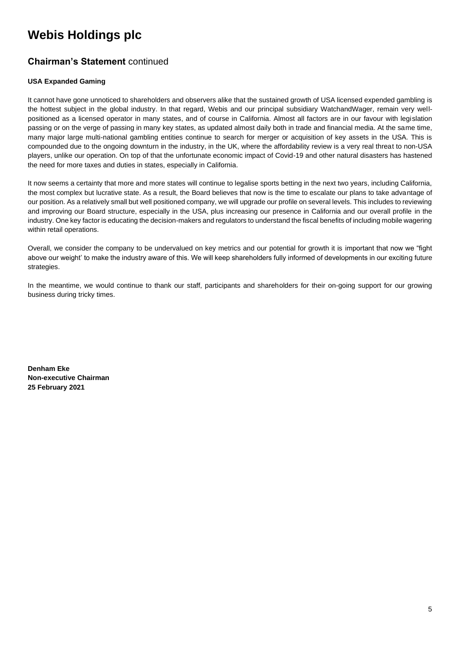# **Chairman's Statement** continued

### **USA Expanded Gaming**

It cannot have gone unnoticed to shareholders and observers alike that the sustained growth of USA licensed expended gambling is the hottest subject in the global industry. In that regard, Webis and our principal subsidiary WatchandWager, remain very wellpositioned as a licensed operator in many states, and of course in California. Almost all factors are in our favour with legislation passing or on the verge of passing in many key states, as updated almost daily both in trade and financial media. At the same time, many major large multi-national gambling entities continue to search for merger or acquisition of key assets in the USA. This is compounded due to the ongoing downturn in the industry, in the UK, where the affordability review is a very real threat to non-USA players, unlike our operation. On top of that the unfortunate economic impact of Covid-19 and other natural disasters has hastened the need for more taxes and duties in states, especially in California.

It now seems a certainty that more and more states will continue to legalise sports betting in the next two years, including California, the most complex but lucrative state. As a result, the Board believes that now is the time to escalate our plans to take advantage of our position. As a relatively small but well positioned company, we will upgrade our profile on several levels. This includes to reviewing and improving our Board structure, especially in the USA, plus increasing our presence in California and our overall profile in the industry. One key factor is educating the decision-makers and regulators to understand the fiscal benefits of including mobile wagering within retail operations.

Overall, we consider the company to be undervalued on key metrics and our potential for growth it is important that now we "fight above our weight' to make the industry aware of this. We will keep shareholders fully informed of developments in our exciting future strategies.

In the meantime, we would continue to thank our staff, participants and shareholders for their on-going support for our growing business during tricky times.

**Denham Eke Non-executive Chairman 25 February 2021**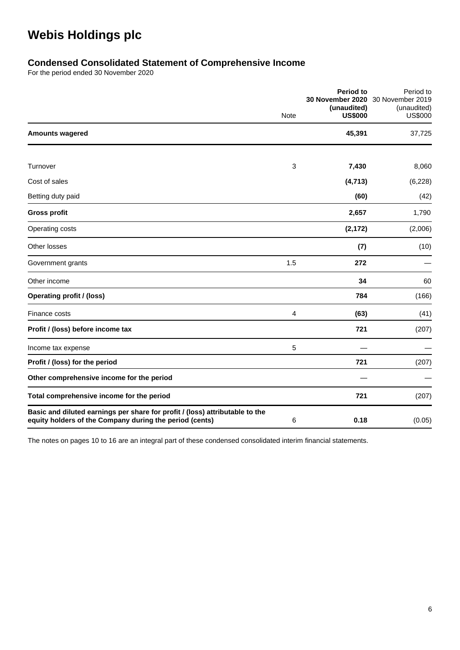# **Condensed Consolidated Statement of Comprehensive Income**

For the period ended 30 November 2020

|                                                                                                                                         | Note | <b>Period to</b><br>30 November 2020<br>(unaudited)<br><b>US\$000</b> | Period to<br>30 November 2019<br>(unaudited)<br><b>US\$000</b> |
|-----------------------------------------------------------------------------------------------------------------------------------------|------|-----------------------------------------------------------------------|----------------------------------------------------------------|
| <b>Amounts wagered</b>                                                                                                                  |      | 45,391                                                                | 37,725                                                         |
|                                                                                                                                         |      |                                                                       |                                                                |
| Turnover                                                                                                                                | 3    | 7,430                                                                 | 8,060                                                          |
| Cost of sales                                                                                                                           |      | (4, 713)                                                              | (6, 228)                                                       |
| Betting duty paid                                                                                                                       |      | (60)                                                                  | (42)                                                           |
| <b>Gross profit</b>                                                                                                                     |      | 2,657                                                                 | 1,790                                                          |
| Operating costs                                                                                                                         |      | (2, 172)                                                              | (2,006)                                                        |
| Other losses                                                                                                                            |      | (7)                                                                   | (10)                                                           |
| Government grants                                                                                                                       | 1.5  | 272                                                                   |                                                                |
| Other income                                                                                                                            |      | 34                                                                    | 60                                                             |
| <b>Operating profit / (loss)</b>                                                                                                        |      | 784                                                                   | (166)                                                          |
| Finance costs                                                                                                                           | 4    | (63)                                                                  | (41)                                                           |
| Profit / (loss) before income tax                                                                                                       |      | 721                                                                   | (207)                                                          |
| Income tax expense                                                                                                                      | 5    |                                                                       |                                                                |
| Profit / (loss) for the period                                                                                                          |      | 721                                                                   | (207)                                                          |
| Other comprehensive income for the period                                                                                               |      |                                                                       |                                                                |
| Total comprehensive income for the period                                                                                               |      | 721                                                                   | (207)                                                          |
| Basic and diluted earnings per share for profit / (loss) attributable to the<br>equity holders of the Company during the period (cents) | 6    | 0.18                                                                  | (0.05)                                                         |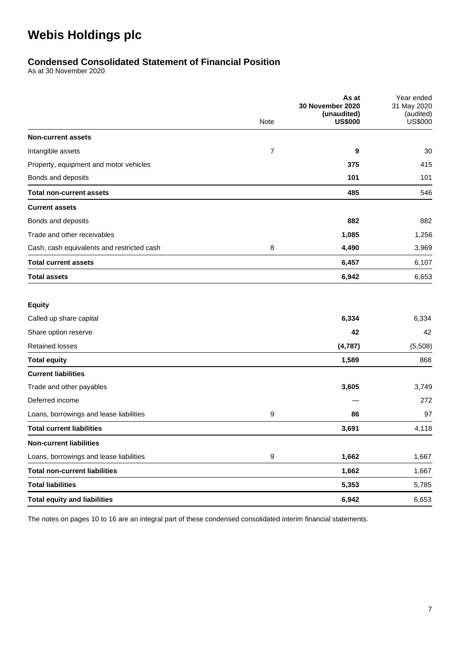# **Condensed Consolidated Statement of Financial Position**

As at 30 November 2020

|                                            | As at<br>30 November 2020<br>(unaudited) |                | Year ended<br>31 May 2020<br>(audited) |
|--------------------------------------------|------------------------------------------|----------------|----------------------------------------|
|                                            | Note                                     | <b>US\$000</b> | <b>US\$000</b>                         |
| <b>Non-current assets</b>                  |                                          |                |                                        |
| Intangible assets                          | 7                                        | 9              | 30                                     |
| Property, equipment and motor vehicles     |                                          | 375            | 415                                    |
| Bonds and deposits                         |                                          | 101            | 101                                    |
| <b>Total non-current assets</b>            |                                          | 485            | 546                                    |
| <b>Current assets</b>                      |                                          |                |                                        |
| Bonds and deposits                         |                                          | 882            | 882                                    |
| Trade and other receivables                |                                          | 1,085          | 1,256                                  |
| Cash, cash equivalents and restricted cash | 8                                        | 4,490          | 3,969                                  |
| <b>Total current assets</b>                |                                          | 6,457          | 6,107                                  |
| <b>Total assets</b>                        |                                          | 6,942          | 6,653                                  |
| <b>Equity</b>                              |                                          |                |                                        |
| Called up share capital                    |                                          | 6,334          | 6,334                                  |
| Share option reserve                       |                                          | 42             | 42                                     |
| <b>Retained losses</b>                     |                                          | (4,787)        | (5,508)                                |
| <b>Total equity</b>                        |                                          | 1,589          | 868                                    |
| <b>Current liabilities</b>                 |                                          |                |                                        |
| Trade and other payables                   |                                          | 3,605          | 3,749                                  |
| Deferred income                            |                                          |                | 272                                    |
| Loans, borrowings and lease liabilities    | 9                                        | 86             | 97                                     |
| <b>Total current liabilities</b>           |                                          | 3,691          | 4,118                                  |
| <b>Non-current liabilities</b>             |                                          |                |                                        |
| Loans, borrowings and lease liabilities    | 9                                        | 1,662          | 1,667                                  |
| <b>Total non-current liabilities</b>       |                                          | 1,662          | 1,667                                  |
| <b>Total liabilities</b>                   |                                          | 5,353          | 5,785                                  |
| <b>Total equity and liabilities</b>        |                                          | 6,942          | 6,653                                  |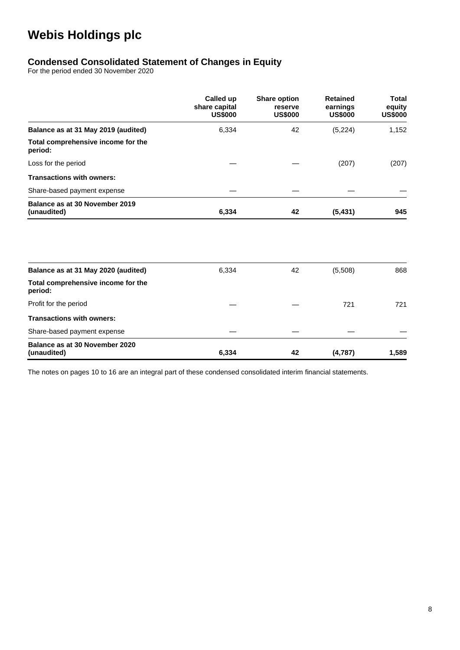# **Condensed Consolidated Statement of Changes in Equity**

For the period ended 30 November 2020

|                                               | Called up<br>share capital<br><b>US\$000</b> | <b>Share option</b><br>reserve<br><b>US\$000</b> | <b>Retained</b><br>earnings<br><b>US\$000</b> | <b>Total</b><br>equity<br><b>US\$000</b> |
|-----------------------------------------------|----------------------------------------------|--------------------------------------------------|-----------------------------------------------|------------------------------------------|
| Balance as at 31 May 2019 (audited)           | 6,334                                        | 42                                               | (5,224)                                       | 1,152                                    |
| Total comprehensive income for the<br>period: |                                              |                                                  |                                               |                                          |
| Loss for the period                           |                                              |                                                  | (207)                                         | (207)                                    |
| <b>Transactions with owners:</b>              |                                              |                                                  |                                               |                                          |
| Share-based payment expense                   |                                              |                                                  |                                               |                                          |
| Balance as at 30 November 2019<br>(unaudited) | 6,334                                        | 42                                               | (5, 431)                                      | 945                                      |
|                                               |                                              |                                                  |                                               |                                          |
| Balance as at 31 May 2020 (audited)           | 6,334                                        | 42                                               | (5,508)                                       | 868                                      |
| Total comprehensive income for the<br>period: |                                              |                                                  |                                               |                                          |
| Profit for the period                         |                                              |                                                  | 721                                           | 721                                      |
| <b>Transactions with owners:</b>              |                                              |                                                  |                                               |                                          |
| Share-based payment expense                   |                                              |                                                  |                                               |                                          |
| Balance as at 30 November 2020<br>(unaudited) | 6,334                                        | 42                                               | (4,787)                                       | 1,589                                    |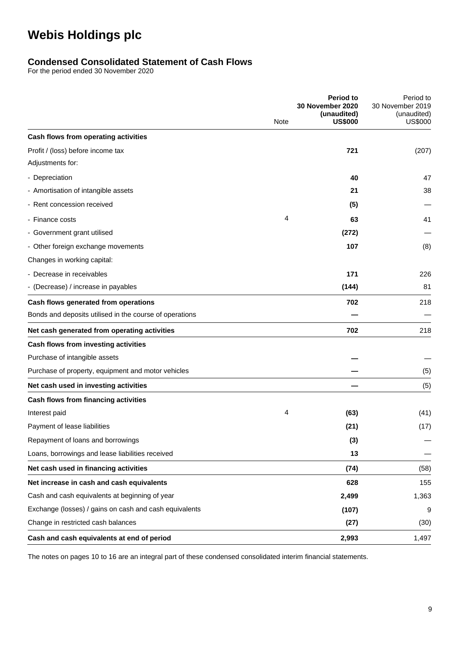## **Condensed Consolidated Statement of Cash Flows**

For the period ended 30 November 2020

|                                                         | Note | <b>Period to</b><br>30 November 2020<br>(unaudited)<br><b>US\$000</b> | Period to<br>30 November 2019<br>(unaudited)<br><b>US\$000</b> |
|---------------------------------------------------------|------|-----------------------------------------------------------------------|----------------------------------------------------------------|
| Cash flows from operating activities                    |      |                                                                       |                                                                |
| Profit / (loss) before income tax                       |      | 721                                                                   | (207)                                                          |
| Adjustments for:                                        |      |                                                                       |                                                                |
| - Depreciation                                          |      | 40                                                                    | 47                                                             |
| - Amortisation of intangible assets                     |      | 21                                                                    | 38                                                             |
| - Rent concession received                              |      | (5)                                                                   |                                                                |
| - Finance costs                                         | 4    | 63                                                                    | 41                                                             |
| - Government grant utilised                             |      | (272)                                                                 |                                                                |
| - Other foreign exchange movements                      |      | 107                                                                   | (8)                                                            |
| Changes in working capital:                             |      |                                                                       |                                                                |
| - Decrease in receivables                               |      | 171                                                                   | 226                                                            |
| - (Decrease) / increase in payables                     |      | (144)                                                                 | 81                                                             |
| Cash flows generated from operations                    |      | 702                                                                   | 218                                                            |
| Bonds and deposits utilised in the course of operations |      |                                                                       |                                                                |
| Net cash generated from operating activities            |      | 702                                                                   | 218                                                            |
| Cash flows from investing activities                    |      |                                                                       |                                                                |
| Purchase of intangible assets                           |      |                                                                       |                                                                |
| Purchase of property, equipment and motor vehicles      |      |                                                                       | (5)                                                            |
| Net cash used in investing activities                   |      |                                                                       | (5)                                                            |
| Cash flows from financing activities                    |      |                                                                       |                                                                |
| Interest paid                                           | 4    | (63)                                                                  | (41)                                                           |
| Payment of lease liabilities                            |      | (21)                                                                  | (17)                                                           |
| Repayment of loans and borrowings                       |      | (3)                                                                   |                                                                |
| Loans, borrowings and lease liabilities received        |      | 13                                                                    |                                                                |
| Net cash used in financing activities                   |      | (74)                                                                  | (58)                                                           |
| Net increase in cash and cash equivalents               |      | 628                                                                   | 155                                                            |
| Cash and cash equivalents at beginning of year          |      | 2,499                                                                 | 1,363                                                          |
| Exchange (losses) / gains on cash and cash equivalents  |      | (107)                                                                 | 9                                                              |
| Change in restricted cash balances                      |      | (27)                                                                  | (30)                                                           |
| Cash and cash equivalents at end of period              |      | 2,993                                                                 | 1,497                                                          |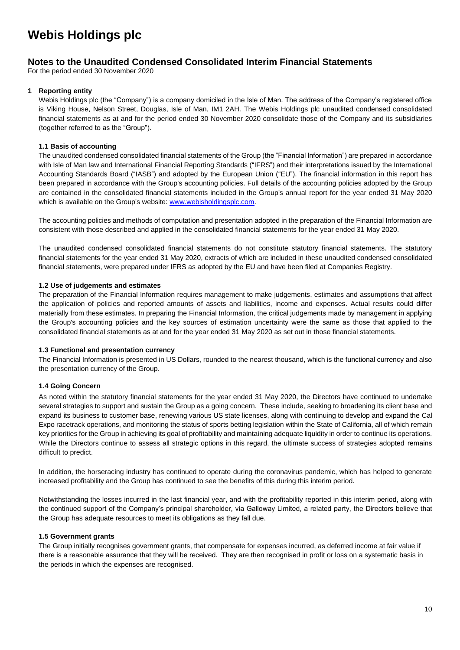## **Notes to the Unaudited Condensed Consolidated Interim Financial Statements**

For the period ended 30 November 2020

### **1 Reporting entity**

Webis Holdings plc (the "Company") is a company domiciled in the Isle of Man. The address of the Company's registered office is Viking House, Nelson Street, Douglas, Isle of Man, IM1 2AH. The Webis Holdings plc unaudited condensed consolidated financial statements as at and for the period ended 30 November 2020 consolidate those of the Company and its subsidiaries (together referred to as the "Group").

### **1.1 Basis of accounting**

The unaudited condensed consolidated financial statements of the Group (the "Financial Information") are prepared in accordance with Isle of Man law and International Financial Reporting Standards ("IFRS") and their interpretations issued by the International Accounting Standards Board ("IASB") and adopted by the European Union ("EU"). The financial information in this report has been prepared in accordance with the Group's accounting policies. Full details of the accounting policies adopted by the Group are contained in the consolidated financial statements included in the Group's annual report for the year ended 31 May 2020 which is available on the Group's website[: www.webisholdingsplc.com.](http://www.webisholdingsplc.com/)

The accounting policies and methods of computation and presentation adopted in the preparation of the Financial Information are consistent with those described and applied in the consolidated financial statements for the year ended 31 May 2020.

The unaudited condensed consolidated financial statements do not constitute statutory financial statements. The statutory financial statements for the year ended 31 May 2020, extracts of which are included in these unaudited condensed consolidated financial statements, were prepared under IFRS as adopted by the EU and have been filed at Companies Registry.

### **1.2 Use of judgements and estimates**

The preparation of the Financial Information requires management to make judgements, estimates and assumptions that affect the application of policies and reported amounts of assets and liabilities, income and expenses. Actual results could differ materially from these estimates. In preparing the Financial Information, the critical judgements made by management in applying the Group's accounting policies and the key sources of estimation uncertainty were the same as those that applied to the consolidated financial statements as at and for the year ended 31 May 2020 as set out in those financial statements.

### **1.3 Functional and presentation currency**

The Financial Information is presented in US Dollars, rounded to the nearest thousand, which is the functional currency and also the presentation currency of the Group.

## **1.4 Going Concern**

As noted within the statutory financial statements for the year ended 31 May 2020, the Directors have continued to undertake several strategies to support and sustain the Group as a going concern. These include, seeking to broadening its client base and expand its business to customer base, renewing various US state licenses, along with continuing to develop and expand the Cal Expo racetrack operations, and monitoring the status of sports betting legislation within the State of California, all of which remain key priorities for the Group in achieving its goal of profitability and maintaining adequate liquidity in order to continue its operations. While the Directors continue to assess all strategic options in this regard, the ultimate success of strategies adopted remains difficult to predict.

In addition, the horseracing industry has continued to operate during the coronavirus pandemic, which has helped to generate increased profitability and the Group has continued to see the benefits of this during this interim period.

Notwithstanding the losses incurred in the last financial year, and with the profitability reported in this interim period, along with the continued support of the Company's principal shareholder, via Galloway Limited, a related party, the Directors believe that the Group has adequate resources to meet its obligations as they fall due.

### **1.5 Government grants**

The Group initially recognises government grants, that compensate for expenses incurred, as deferred income at fair value if there is a reasonable assurance that they will be received. They are then recognised in profit or loss on a systematic basis in the periods in which the expenses are recognised.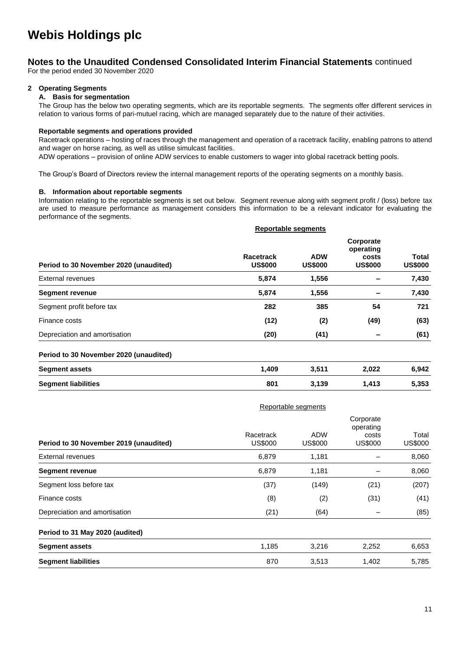## **Notes to the Unaudited Condensed Consolidated Interim Financial Statements** continued

For the period ended 30 November 2020

### **2 Operating Segments**

### **A. Basis for segmentation**

The Group has the below two operating segments, which are its reportable segments. The segments offer different services in relation to various forms of pari-mutuel racing, which are managed separately due to the nature of their activities.

#### **Reportable segments and operations provided**

Racetrack operations – hosting of races through the management and operation of a racetrack facility, enabling patrons to attend and wager on horse racing, as well as utilise simulcast facilities.

ADW operations – provision of online ADW services to enable customers to wager into global racetrack betting pools.

The Group's Board of Directors review the internal management reports of the operating segments on a monthly basis.

#### **B. Information about reportable segments**

Information relating to the reportable segments is set out below. Segment revenue along with segment profit / (loss) before tax are used to measure performance as management considers this information to be a relevant indicator for evaluating the performance of the segments.

|                                        |                             | <b>Reportable segments</b>   |                                                   |                         |
|----------------------------------------|-----------------------------|------------------------------|---------------------------------------------------|-------------------------|
| Period to 30 November 2020 (unaudited) | Racetrack<br><b>US\$000</b> | <b>ADW</b><br><b>US\$000</b> | Corporate<br>operating<br>costs<br><b>US\$000</b> | Total<br><b>US\$000</b> |
| External revenues                      | 5,874                       | 1,556                        |                                                   | 7,430                   |
| <b>Segment revenue</b>                 | 5,874                       | 1,556                        |                                                   | 7,430                   |
| Segment profit before tax              | 282                         | 385                          | 54                                                | 721                     |
| Finance costs                          | (12)                        | (2)                          | (49)                                              | (63)                    |
| Depreciation and amortisation          | (20)                        | (41)                         |                                                   | (61)                    |

#### **Period to 30 November 2020 (unaudited)**

| <b>Segment assets</b>      | .409 | 3,511 | 2,022 | 6,942 |
|----------------------------|------|-------|-------|-------|
| <b>Segment liabilities</b> | 801  | 3,139 | 1.413 | 5,353 |

|                                        | Reportable segments         |                              |                                                   |                         |
|----------------------------------------|-----------------------------|------------------------------|---------------------------------------------------|-------------------------|
| Period to 30 November 2019 (unaudited) | Racetrack<br><b>US\$000</b> | <b>ADW</b><br><b>US\$000</b> | Corporate<br>operating<br>costs<br><b>US\$000</b> | Total<br><b>US\$000</b> |
| <b>External revenues</b>               | 6,879                       | 1,181                        |                                                   | 8,060                   |
| <b>Segment revenue</b>                 | 6,879                       | 1,181                        |                                                   | 8,060                   |
| Segment loss before tax                | (37)                        | (149)                        | (21)                                              | (207)                   |
| Finance costs                          | (8)                         | (2)                          | (31)                                              | (41)                    |
| Depreciation and amortisation          | (21)                        | (64)                         |                                                   | (85)                    |
| Period to 31 May 2020 (audited)        |                             |                              |                                                   |                         |
| <b>Segment assets</b>                  | 1,185                       | 3,216                        | 2,252                                             | 6,653                   |
| <b>Segment liabilities</b>             | 870                         | 3,513                        | 1,402                                             | 5,785                   |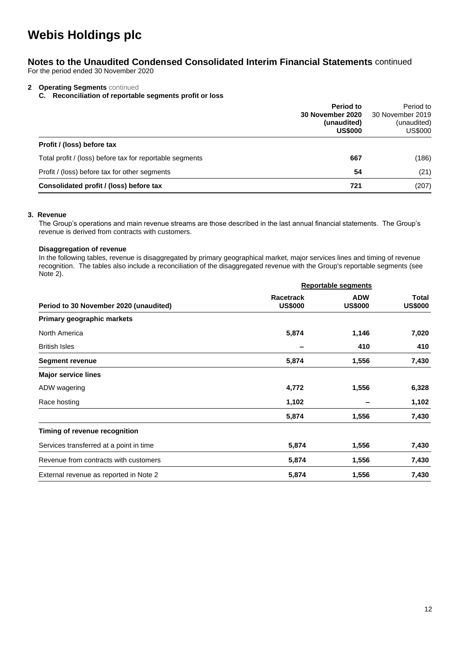## **Notes to the Unaudited Condensed Consolidated Interim Financial Statements** continued

For the period ended 30 November 2020

## **2 Operating Segments** continued

**C. Reconciliation of reportable segments profit or loss**

|                                                          | Period to<br><b>30 November 2020</b><br>(unaudited)<br><b>US\$000</b> | Period to<br>30 November 2019<br>(unaudited)<br><b>US\$000</b> |
|----------------------------------------------------------|-----------------------------------------------------------------------|----------------------------------------------------------------|
| Profit / (loss) before tax                               |                                                                       |                                                                |
| Total profit / (loss) before tax for reportable segments | 667                                                                   | (186)                                                          |
| Profit / (loss) before tax for other segments            | 54                                                                    | (21)                                                           |
| Consolidated profit / (loss) before tax                  | 721                                                                   | (207)                                                          |

### **3. Revenue**

The Group's operations and main revenue streams are those described in the last annual financial statements. The Group's revenue is derived from contracts with customers.

### **Disaggregation of revenue**

In the following tables, revenue is disaggregated by primary geographical market, major services lines and timing of revenue recognition. The tables also include a reconciliation of the disaggregated revenue with the Group's reportable segments (see Note 2).

|                                         |                                    | <b>Reportable segments</b>   |                                |  |
|-----------------------------------------|------------------------------------|------------------------------|--------------------------------|--|
| Period to 30 November 2020 (unaudited)  | <b>Racetrack</b><br><b>US\$000</b> | <b>ADW</b><br><b>US\$000</b> | <b>Total</b><br><b>US\$000</b> |  |
| Primary geographic markets              |                                    |                              |                                |  |
| North America                           | 5,874                              | 1,146                        | 7,020                          |  |
| <b>British Isles</b>                    |                                    | 410                          | 410                            |  |
| <b>Segment revenue</b>                  | 5,874                              | 1,556                        | 7,430                          |  |
| <b>Major service lines</b>              |                                    |                              |                                |  |
| ADW wagering                            | 4,772                              | 1,556                        | 6,328                          |  |
| Race hosting                            | 1,102                              |                              | 1,102                          |  |
|                                         | 5,874                              | 1,556                        | 7,430                          |  |
| Timing of revenue recognition           |                                    |                              |                                |  |
| Services transferred at a point in time | 5,874                              | 1,556                        | 7,430                          |  |
| Revenue from contracts with customers   | 5,874                              | 1,556                        | 7,430                          |  |
| External revenue as reported in Note 2  | 5,874                              | 1,556                        | 7,430                          |  |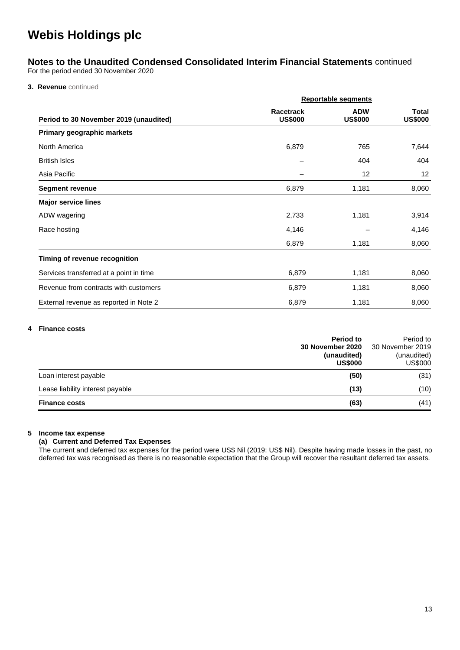# **Notes to the Unaudited Condensed Consolidated Interim Financial Statements** continued

For the period ended 30 November 2020

**3. Revenue** continued

|                                         |                                    | <b>Reportable segments</b>   |                                |  |
|-----------------------------------------|------------------------------------|------------------------------|--------------------------------|--|
| Period to 30 November 2019 (unaudited)  | <b>Racetrack</b><br><b>US\$000</b> | <b>ADW</b><br><b>US\$000</b> | <b>Total</b><br><b>US\$000</b> |  |
| Primary geographic markets              |                                    |                              |                                |  |
| North America                           | 6,879                              | 765                          | 7,644                          |  |
| <b>British Isles</b>                    |                                    | 404                          | 404                            |  |
| Asia Pacific                            |                                    | 12                           | 12                             |  |
| <b>Segment revenue</b>                  | 6,879                              | 1,181                        | 8,060                          |  |
| <b>Major service lines</b>              |                                    |                              |                                |  |
| ADW wagering                            | 2,733                              | 1,181                        | 3,914                          |  |
| Race hosting                            | 4,146                              |                              | 4,146                          |  |
|                                         | 6,879                              | 1,181                        | 8,060                          |  |
| Timing of revenue recognition           |                                    |                              |                                |  |
| Services transferred at a point in time | 6,879                              | 1,181                        | 8,060                          |  |
| Revenue from contracts with customers   | 6,879                              | 1,181                        | 8,060                          |  |
| External revenue as reported in Note 2  | 6,879                              | 1,181                        | 8,060                          |  |

#### **4 Finance costs**

|                                  | Period to<br>30 November 2020<br>(unaudited)<br><b>US\$000</b> | Period to<br>30 November 2019<br>(unaudited)<br><b>US\$000</b> |
|----------------------------------|----------------------------------------------------------------|----------------------------------------------------------------|
| Loan interest payable            | (50)                                                           | (31)                                                           |
| Lease liability interest payable | (13)                                                           | (10)                                                           |
| <b>Finance costs</b>             | (63)                                                           | (41)                                                           |

### **5 Income tax expense**

## **(a) Current and Deferred Tax Expenses**

The current and deferred tax expenses for the period were US\$ Nil (2019: US\$ Nil). Despite having made losses in the past, no deferred tax was recognised as there is no reasonable expectation that the Group will recover the resultant deferred tax assets.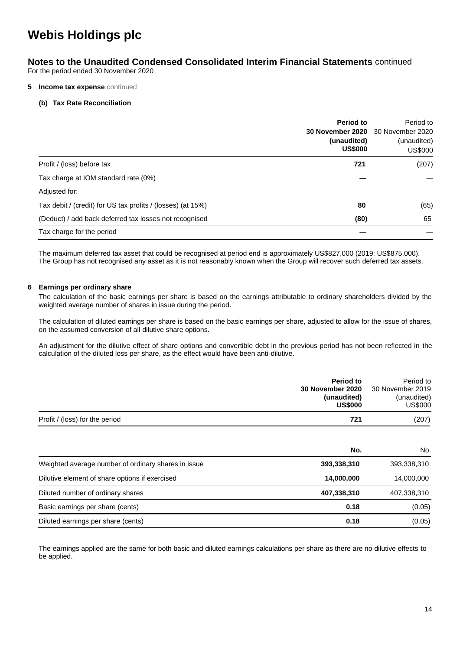## **Notes to the Unaudited Condensed Consolidated Interim Financial Statements** continued

For the period ended 30 November 2020

#### **5 Income tax expense** continued

#### **(b) Tax Rate Reconciliation**

|                                                             | Period to<br>30 November 2020<br>(unaudited)<br><b>US\$000</b> | Period to<br>30 November 2020<br>(unaudited)<br><b>US\$000</b> |
|-------------------------------------------------------------|----------------------------------------------------------------|----------------------------------------------------------------|
| Profit / (loss) before tax                                  | 721                                                            | (207)                                                          |
| Tax charge at IOM standard rate (0%)                        |                                                                |                                                                |
| Adjusted for:                                               |                                                                |                                                                |
| Tax debit / (credit) for US tax profits / (losses) (at 15%) | 80                                                             | (65)                                                           |
| (Deduct) / add back deferred tax losses not recognised      | (80)                                                           | 65                                                             |
| Tax charge for the period                                   |                                                                |                                                                |

The maximum deferred tax asset that could be recognised at period end is approximately US\$827,000 (2019: US\$875,000). The Group has not recognised any asset as it is not reasonably known when the Group will recover such deferred tax assets.

#### **6 Earnings per ordinary share**

The calculation of the basic earnings per share is based on the earnings attributable to ordinary shareholders divided by the weighted average number of shares in issue during the period.

The calculation of diluted earnings per share is based on the basic earnings per share, adjusted to allow for the issue of shares, on the assumed conversion of all dilutive share options.

An adjustment for the dilutive effect of share options and convertible debt in the previous period has not been reflected in the calculation of the diluted loss per share, as the effect would have been anti-dilutive.

|                                                     | Period to<br>30 November 2020<br>(unaudited)<br><b>US\$000</b> | Period to<br>30 November 2019<br>(unaudited)<br><b>US\$000</b> |
|-----------------------------------------------------|----------------------------------------------------------------|----------------------------------------------------------------|
| Profit / (loss) for the period                      | 721                                                            | (207)                                                          |
|                                                     | No.                                                            | No.                                                            |
| Weighted average number of ordinary shares in issue | 393,338,310                                                    | 393,338,310                                                    |
| Dilutive element of share options if exercised      | 14,000,000                                                     | 14,000,000                                                     |
| Diluted number of ordinary shares                   | 407,338,310                                                    | 407,338,310                                                    |
| Basic earnings per share (cents)                    | 0.18                                                           | (0.05)                                                         |
| Diluted earnings per share (cents)                  | 0.18                                                           | (0.05)                                                         |

The earnings applied are the same for both basic and diluted earnings calculations per share as there are no dilutive effects to be applied.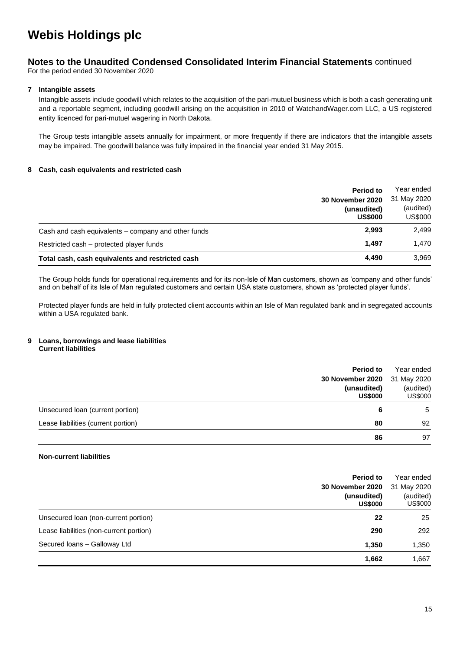## **Notes to the Unaudited Condensed Consolidated Interim Financial Statements** continued

For the period ended 30 November 2020

### **7 Intangible assets**

Intangible assets include goodwill which relates to the acquisition of the pari-mutuel business which is both a cash generating unit and a reportable segment, including goodwill arising on the acquisition in 2010 of WatchandWager.com LLC, a US registered entity licenced for pari-mutuel wagering in North Dakota.

The Group tests intangible assets annually for impairment, or more frequently if there are indicators that the intangible assets may be impaired. The goodwill balance was fully impaired in the financial year ended 31 May 2015.

### **8 Cash, cash equivalents and restricted cash**

|                                                     | <b>Period to</b><br>30 November 2020<br>(unaudited)<br><b>US\$000</b> | Year ended<br>31 May 2020<br>(audited)<br><b>US\$000</b> |
|-----------------------------------------------------|-----------------------------------------------------------------------|----------------------------------------------------------|
| Cash and cash equivalents – company and other funds | 2.993                                                                 | 2,499                                                    |
| Restricted cash – protected player funds            | 1.497                                                                 | 1.470                                                    |
| Total cash, cash equivalents and restricted cash    | 4.490                                                                 | 3,969                                                    |

The Group holds funds for operational requirements and for its non-Isle of Man customers, shown as 'company and other funds' and on behalf of its Isle of Man regulated customers and certain USA state customers, shown as 'protected player funds'.

Protected player funds are held in fully protected client accounts within an Isle of Man regulated bank and in segregated accounts within a USA regulated bank.

#### **9 Loans, borrowings and lease liabilities Current liabilities**

|                                           | <b>Period to</b>              | Year ended                  |
|-------------------------------------------|-------------------------------|-----------------------------|
|                                           | 30 November 2020              | 31 May 2020                 |
|                                           | (unaudited)<br><b>US\$000</b> | (audited)<br><b>US\$000</b> |
| Unsecured Ioan (current portion)          | 6                             | 5                           |
| Lease liabilities (current portion)<br>80 | 92                            |                             |
|                                           | 86                            | 97                          |

### **Non-current liabilities**

|                                         | Period to<br>30 November 2020<br>(unaudited)<br><b>US\$000</b> | Year ended<br>31 May 2020<br>(audited)<br>US\$000 |
|-----------------------------------------|----------------------------------------------------------------|---------------------------------------------------|
| Unsecured loan (non-current portion)    | 22                                                             | 25                                                |
| Lease liabilities (non-current portion) | 290                                                            | 292                                               |
| Secured Ioans - Galloway Ltd<br>1,350   | 1,350                                                          |                                                   |
|                                         | 1,662                                                          | 1,667                                             |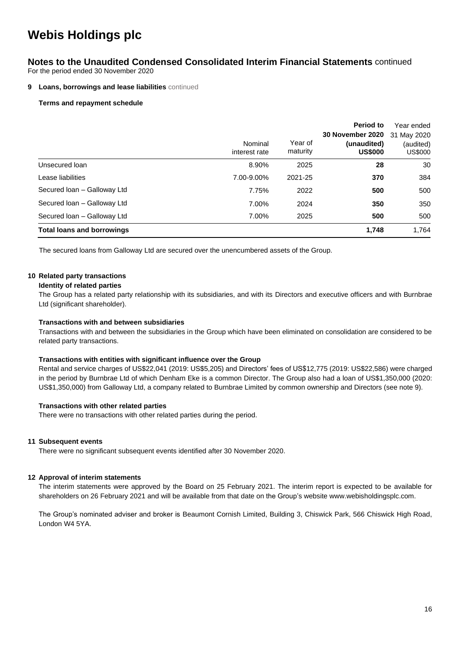## **Notes to the Unaudited Condensed Consolidated Interim Financial Statements** continued

For the period ended 30 November 2020

#### **9** Loans, borrowings and lease liabilities continued

#### **Terms and repayment schedule**

|                                   | Nominal<br>interest rate | Year of<br>maturity | Period to<br>30 November 2020<br>(unaudited)<br><b>US\$000</b> | Year ended<br>31 May 2020<br>(audited)<br>US\$000 |
|-----------------------------------|--------------------------|---------------------|----------------------------------------------------------------|---------------------------------------------------|
| Unsecured loan                    | 8.90%                    | 2025                | 28                                                             | 30                                                |
| Lease liabilities                 | 7.00-9.00%               | 2021-25             | 370                                                            | 384                                               |
| Secured Ioan - Galloway Ltd       | 7.75%                    | 2022                | 500                                                            | 500                                               |
| Secured Ioan - Galloway Ltd       | 7.00%                    | 2024                | 350                                                            | 350                                               |
| Secured Ioan - Galloway Ltd       | 7.00%                    | 2025                | 500                                                            | 500                                               |
| <b>Total loans and borrowings</b> |                          |                     | 1,748                                                          | 1,764                                             |

The secured loans from Galloway Ltd are secured over the unencumbered assets of the Group.

### **10 Related party transactions**

#### **Identity of related parties**

The Group has a related party relationship with its subsidiaries, and with its Directors and executive officers and with Burnbrae Ltd (significant shareholder).

#### **Transactions with and between subsidiaries**

Transactions with and between the subsidiaries in the Group which have been eliminated on consolidation are considered to be related party transactions.

#### **Transactions with entities with significant influence over the Group**

Rental and service charges of US\$22,041 (2019: US\$5,205) and Directors' fees of US\$12,775 (2019: US\$22,586) were charged in the period by Burnbrae Ltd of which Denham Eke is a common Director. The Group also had a loan of US\$1,350,000 (2020: US\$1,350,000) from Galloway Ltd, a company related to Burnbrae Limited by common ownership and Directors (see note 9).

#### **Transactions with other related parties**

There were no transactions with other related parties during the period.

#### **11 Subsequent events**

There were no significant subsequent events identified after 30 November 2020.

#### **12 Approval of interim statements**

The interim statements were approved by the Board on 25 February 2021. The interim report is expected to be available for shareholders on 26 February 2021 and will be available from that date on the Group's website www.webisholdingsplc.com.

The Group's nominated adviser and broker is Beaumont Cornish Limited, Building 3, Chiswick Park, 566 Chiswick High Road, London W4 5YA.